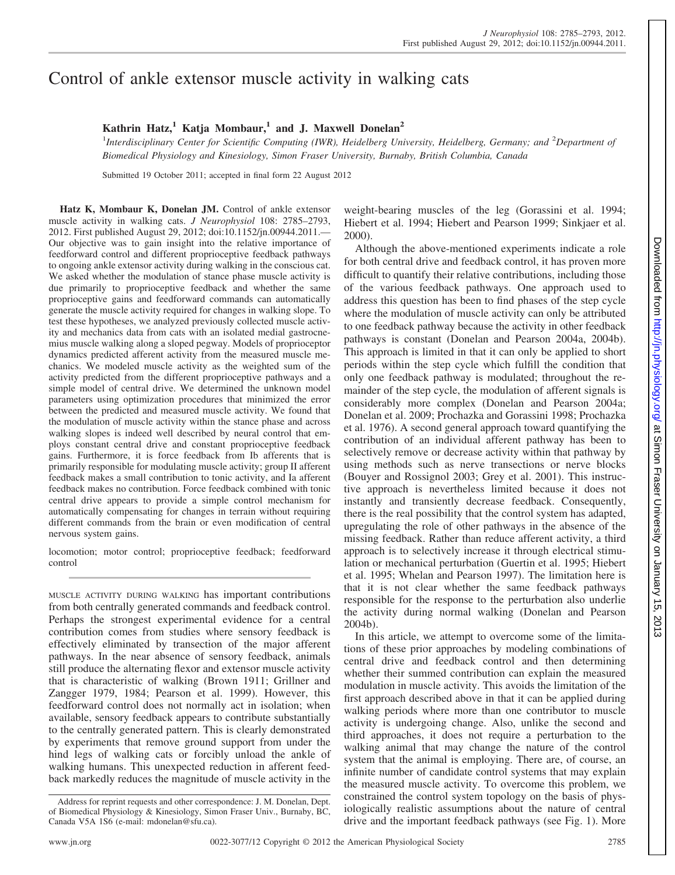# Control of ankle extensor muscle activity in walking cats

## **Kathrin Hatz,<sup>1</sup> Katja Mombaur,<sup>1</sup> and J. Maxwell Donelan<sup>2</sup>**

<sup>1</sup>Interdisciplinary Center for Scientific Computing (IWR), Heidelberg University, Heidelberg, Germany; and <sup>2</sup>Department of *Biomedical Physiology and Kinesiology, Simon Fraser University, Burnaby, British Columbia, Canada*

Submitted 19 October 2011; accepted in final form 22 August 2012

**Hatz K, Mombaur K, Donelan JM.** Control of ankle extensor muscle activity in walking cats. *J Neurophysiol* 108: 2785–2793, 2012. First published August 29, 2012; doi:10.1152/jn.00944.2011.— Our objective was to gain insight into the relative importance of feedforward control and different proprioceptive feedback pathways to ongoing ankle extensor activity during walking in the conscious cat. We asked whether the modulation of stance phase muscle activity is due primarily to proprioceptive feedback and whether the same proprioceptive gains and feedforward commands can automatically generate the muscle activity required for changes in walking slope. To test these hypotheses, we analyzed previously collected muscle activity and mechanics data from cats with an isolated medial gastrocnemius muscle walking along a sloped pegway. Models of proprioceptor dynamics predicted afferent activity from the measured muscle mechanics. We modeled muscle activity as the weighted sum of the activity predicted from the different proprioceptive pathways and a simple model of central drive. We determined the unknown model parameters using optimization procedures that minimized the error between the predicted and measured muscle activity. We found that the modulation of muscle activity within the stance phase and across walking slopes is indeed well described by neural control that employs constant central drive and constant proprioceptive feedback gains. Furthermore, it is force feedback from Ib afferents that is primarily responsible for modulating muscle activity; group II afferent feedback makes a small contribution to tonic activity, and Ia afferent feedback makes no contribution. Force feedback combined with tonic central drive appears to provide a simple control mechanism for automatically compensating for changes in terrain without requiring different commands from the brain or even modification of central nervous system gains.

locomotion; motor control; proprioceptive feedback; feedforward control

MUSCLE ACTIVITY DURING WALKING has important contributions from both centrally generated commands and feedback control. Perhaps the strongest experimental evidence for a central contribution comes from studies where sensory feedback is effectively eliminated by transection of the major afferent pathways. In the near absence of sensory feedback, animals still produce the alternating flexor and extensor muscle activity that is characteristic of walking (Brown 1911; Grillner and Zangger 1979, 1984; Pearson et al. 1999). However, this feedforward control does not normally act in isolation; when available, sensory feedback appears to contribute substantially to the centrally generated pattern. This is clearly demonstrated by experiments that remove ground support from under the hind legs of walking cats or forcibly unload the ankle of walking humans. This unexpected reduction in afferent feedback markedly reduces the magnitude of muscle activity in the weight-bearing muscles of the leg (Gorassini et al. 1994; Hiebert et al. 1994; Hiebert and Pearson 1999; Sinkjaer et al. 2000).

Although the above-mentioned experiments indicate a role for both central drive and feedback control, it has proven more difficult to quantify their relative contributions, including those of the various feedback pathways. One approach used to address this question has been to find phases of the step cycle where the modulation of muscle activity can only be attributed to one feedback pathway because the activity in other feedback pathways is constant (Donelan and Pearson 2004a, 2004b). This approach is limited in that it can only be applied to short periods within the step cycle which fulfill the condition that only one feedback pathway is modulated; throughout the remainder of the step cycle, the modulation of afferent signals is considerably more complex (Donelan and Pearson 2004a; Donelan et al. 2009; Prochazka and Gorassini 1998; Prochazka et al. 1976). A second general approach toward quantifying the contribution of an individual afferent pathway has been to selectively remove or decrease activity within that pathway by using methods such as nerve transections or nerve blocks (Bouyer and Rossignol 2003; Grey et al. 2001). This instructive approach is nevertheless limited because it does not instantly and transiently decrease feedback. Consequently, there is the real possibility that the control system has adapted, upregulating the role of other pathways in the absence of the missing feedback. Rather than reduce afferent activity, a third approach is to selectively increase it through electrical stimulation or mechanical perturbation (Guertin et al. 1995; Hiebert et al. 1995; Whelan and Pearson 1997). The limitation here is that it is not clear whether the same feedback pathways responsible for the response to the perturbation also underlie the activity during normal walking (Donelan and Pearson 2004b).

In this article, we attempt to overcome some of the limitations of these prior approaches by modeling combinations of central drive and feedback control and then determining whether their summed contribution can explain the measured modulation in muscle activity. This avoids the limitation of the first approach described above in that it can be applied during walking periods where more than one contributor to muscle activity is undergoing change. Also, unlike the second and third approaches, it does not require a perturbation to the walking animal that may change the nature of the control system that the animal is employing. There are, of course, an infinite number of candidate control systems that may explain the measured muscle activity. To overcome this problem, we constrained the control system topology on the basis of physiologically realistic assumptions about the nature of central drive and the important feedback pathways (see Fig. 1). More

Address for reprint requests and other correspondence: J. M. Donelan, Dept. of Biomedical Physiology & Kinesiology, Simon Fraser Univ., Burnaby, BC, Canada V5A 1S6 (e-mail: mdonelan@sfu.ca).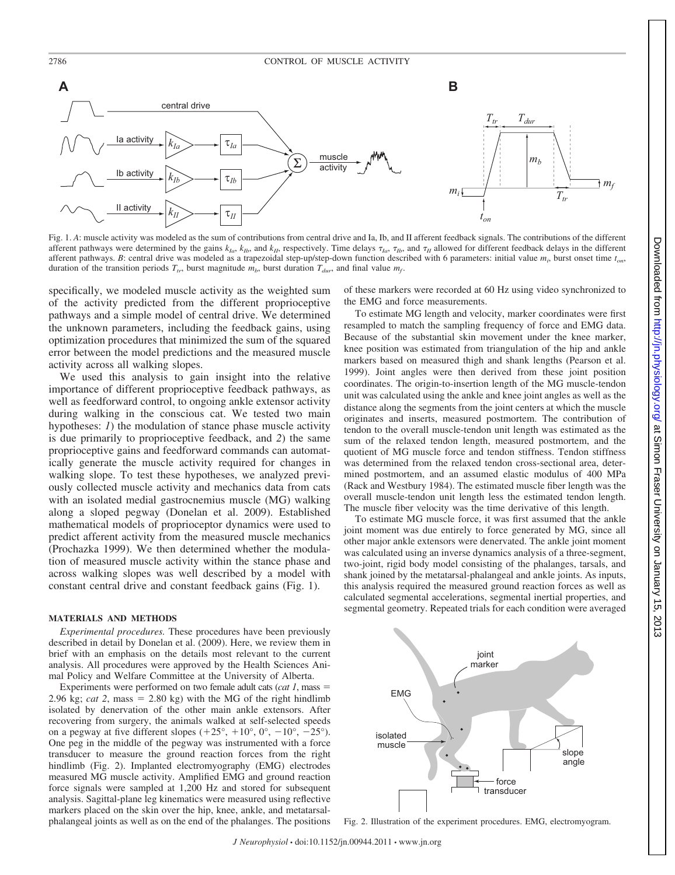

Fig. 1. A: muscle activity was modeled as the sum of contributions from central drive and Ia, Ib, and II afferent feedback signals. The contributions of the different afferent pathways were determined by the gains  $k_{Ia}$ ,  $k_{Ib}$ , and  $k_{II}$ , respectively. Time delays  $\tau_{Ia}$ ,  $\tau_{Ib}$ , and  $\tau_{II}$  allowed for different feedback delays in the different afferent pathways. *B*: central drive was modeled as a trapezoidal step-up/step-down function described with 6 parameters: initial value *mi* , burst onset time *ton*, duration of the transition periods  $T_{tr}$ , burst magnitude  $m_b$ , burst duration  $T_{dur}$ , and final value  $m_f$ .

specifically, we modeled muscle activity as the weighted sum of the activity predicted from the different proprioceptive pathways and a simple model of central drive. We determined the unknown parameters, including the feedback gains, using optimization procedures that minimized the sum of the squared error between the model predictions and the measured muscle activity across all walking slopes.

We used this analysis to gain insight into the relative importance of different proprioceptive feedback pathways, as well as feedforward control, to ongoing ankle extensor activity during walking in the conscious cat. We tested two main hypotheses: *1*) the modulation of stance phase muscle activity is due primarily to proprioceptive feedback, and *2*) the same proprioceptive gains and feedforward commands can automatically generate the muscle activity required for changes in walking slope. To test these hypotheses, we analyzed previously collected muscle activity and mechanics data from cats with an isolated medial gastrocnemius muscle (MG) walking along a sloped pegway (Donelan et al. 2009). Established mathematical models of proprioceptor dynamics were used to predict afferent activity from the measured muscle mechanics (Prochazka 1999). We then determined whether the modulation of measured muscle activity within the stance phase and across walking slopes was well described by a model with constant central drive and constant feedback gains (Fig. 1).

#### **MATERIALS AND METHODS**

*Experimental procedures.* These procedures have been previously described in detail by Donelan et al. (2009). Here, we review them in brief with an emphasis on the details most relevant to the current analysis. All procedures were approved by the Health Sciences Animal Policy and Welfare Committee at the University of Alberta.

Experiments were performed on two female adult cats (*cat 1*, mass 2.96 kg; *cat* 2, mass  $= 2.80$  kg) with the MG of the right hindlimb isolated by denervation of the other main ankle extensors. After recovering from surgery, the animals walked at self-selected speeds on a pegway at five different slopes  $(+25^{\circ}, +10^{\circ}, 0^{\circ}, -10^{\circ}, -25^{\circ})$ . One peg in the middle of the pegway was instrumented with a force transducer to measure the ground reaction forces from the right hindlimb (Fig. 2). Implanted electromyography (EMG) electrodes measured MG muscle activity. Amplified EMG and ground reaction force signals were sampled at 1,200 Hz and stored for subsequent analysis. Sagittal-plane leg kinematics were measured using reflective markers placed on the skin over the hip, knee, ankle, and metatarsalphalangeal joints as well as on the end of the phalanges. The positions of these markers were recorded at 60 Hz using video synchronized to the EMG and force measurements.

To estimate MG length and velocity, marker coordinates were first resampled to match the sampling frequency of force and EMG data. Because of the substantial skin movement under the knee marker, knee position was estimated from triangulation of the hip and ankle markers based on measured thigh and shank lengths (Pearson et al. 1999). Joint angles were then derived from these joint position coordinates. The origin-to-insertion length of the MG muscle-tendon unit was calculated using the ankle and knee joint angles as well as the distance along the segments from the joint centers at which the muscle originates and inserts, measured postmortem. The contribution of tendon to the overall muscle-tendon unit length was estimated as the sum of the relaxed tendon length, measured postmortem, and the quotient of MG muscle force and tendon stiffness. Tendon stiffness was determined from the relaxed tendon cross-sectional area, determined postmortem, and an assumed elastic modulus of 400 MPa (Rack and Westbury 1984). The estimated muscle fiber length was the overall muscle-tendon unit length less the estimated tendon length. The muscle fiber velocity was the time derivative of this length.

To estimate MG muscle force, it was first assumed that the ankle joint moment was due entirely to force generated by MG, since all other major ankle extensors were denervated. The ankle joint moment was calculated using an inverse dynamics analysis of a three-segment, two-joint, rigid body model consisting of the phalanges, tarsals, and shank joined by the metatarsal-phalangeal and ankle joints. As inputs, this analysis required the measured ground reaction forces as well as calculated segmental accelerations, segmental inertial properties, and segmental geometry. Repeated trials for each condition were averaged



Fig. 2. Illustration of the experiment procedures. EMG, electromyogram.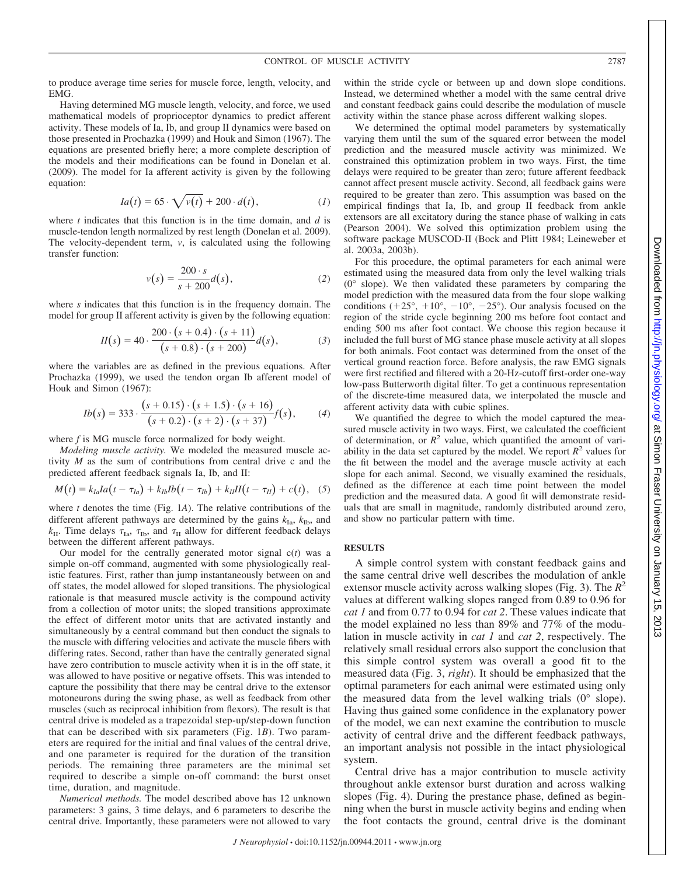to produce average time series for muscle force, length, velocity, and EMG.

Having determined MG muscle length, velocity, and force, we used mathematical models of proprioceptor dynamics to predict afferent activity. These models of Ia, Ib, and group II dynamics were based on those presented in Prochazka (1999) and Houk and Simon (1967). The equations are presented briefly here; a more complete description of the models and their modifications can be found in Donelan et al. (2009). The model for Ia afferent activity is given by the following equation:

$$
Ia(t) = 65 \cdot \sqrt{v(t)} + 200 \cdot d(t), \qquad (1)
$$

where *t* indicates that this function is in the time domain, and *d* is muscle-tendon length normalized by rest length (Donelan et al. 2009). The velocity-dependent term, *v*, is calculated using the following transfer function:

$$
v(s) = \frac{200 \cdot s}{s + 200} d(s),
$$
 (2)

where *s* indicates that this function is in the frequency domain. The model for group II afferent activity is given by the following equation:

$$
II(s) = 40 \cdot \frac{200 \cdot (s + 0.4) \cdot (s + 11)}{(s + 0.8) \cdot (s + 200)} d(s),
$$
 (3)

where the variables are as defined in the previous equations. After Prochazka (1999), we used the tendon organ Ib afferent model of Houk and Simon (1967):

$$
Ib(s) = 333 \cdot \frac{(s+0.15) \cdot (s+1.5) \cdot (s+16)}{(s+0.2) \cdot (s+2) \cdot (s+37)} f(s), \qquad (4)
$$

where *f* is MG muscle force normalized for body weight.

*Modeling muscle activity.* We modeled the measured muscle activity *M* as the sum of contributions from central drive c and the predicted afferent feedback signals Ia, Ib, and II:

$$
M(t) = k_{Ia}Ia(t - \tau_{Ia}) + k_{Ib}Ib(t - \tau_{Ib}) + k_{II}II(t - \tau_{II}) + c(t),
$$
 (5)

where *t* denotes the time (Fig. 1*A*). The relative contributions of the different afferent pathways are determined by the gains  $k_{\text{Ia}}$ ,  $k_{\text{Ib}}$ , and  $k_{\text{II}}$ . Time delays  $\tau_{\text{Ia}}$ ,  $\tau_{\text{Ib}}$ , and  $\tau_{\text{II}}$  allow for different feedback delays between the different afferent pathways.

Our model for the centrally generated motor signal c(*t*) was a simple on-off command, augmented with some physiologically realistic features. First, rather than jump instantaneously between on and off states, the model allowed for sloped transitions. The physiological rationale is that measured muscle activity is the compound activity from a collection of motor units; the sloped transitions approximate the effect of different motor units that are activated instantly and simultaneously by a central command but then conduct the signals to the muscle with differing velocities and activate the muscle fibers with differing rates. Second, rather than have the centrally generated signal have zero contribution to muscle activity when it is in the off state, it was allowed to have positive or negative offsets. This was intended to capture the possibility that there may be central drive to the extensor motoneurons during the swing phase, as well as feedback from other muscles (such as reciprocal inhibition from flexors). The result is that central drive is modeled as a trapezoidal step-up/step-down function that can be described with six parameters (Fig. 1*B*). Two parameters are required for the initial and final values of the central drive, and one parameter is required for the duration of the transition periods. The remaining three parameters are the minimal set required to describe a simple on-off command: the burst onset time, duration, and magnitude.

*Numerical methods.* The model described above has 12 unknown parameters: 3 gains, 3 time delays, and 6 parameters to describe the central drive. Importantly, these parameters were not allowed to vary within the stride cycle or between up and down slope conditions. Instead, we determined whether a model with the same central drive and constant feedback gains could describe the modulation of muscle activity within the stance phase across different walking slopes.

We determined the optimal model parameters by systematically varying them until the sum of the squared error between the model prediction and the measured muscle activity was minimized. We constrained this optimization problem in two ways. First, the time delays were required to be greater than zero; future afferent feedback cannot affect present muscle activity. Second, all feedback gains were required to be greater than zero. This assumption was based on the empirical findings that Ia, Ib, and group II feedback from ankle extensors are all excitatory during the stance phase of walking in cats (Pearson 2004). We solved this optimization problem using the software package MUSCOD-II (Bock and Plitt 1984; Leineweber et al. 2003a, 2003b).

For this procedure, the optimal parameters for each animal were estimated using the measured data from only the level walking trials (0° slope). We then validated these parameters by comparing the model prediction with the measured data from the four slope walking conditions  $(+25^{\circ}, +10^{\circ}, -10^{\circ}, -25^{\circ})$ . Our analysis focused on the region of the stride cycle beginning 200 ms before foot contact and ending 500 ms after foot contact. We choose this region because it included the full burst of MG stance phase muscle activity at all slopes for both animals. Foot contact was determined from the onset of the vertical ground reaction force. Before analysis, the raw EMG signals were first rectified and filtered with a 20-Hz-cutoff first-order one-way low-pass Butterworth digital filter. To get a continuous representation of the discrete-time measured data, we interpolated the muscle and afferent activity data with cubic splines.

We quantified the degree to which the model captured the measured muscle activity in two ways. First, we calculated the coefficient of determination, or  $R^2$  value, which quantified the amount of variability in the data set captured by the model. We report  $R^2$  values for the fit between the model and the average muscle activity at each slope for each animal. Second, we visually examined the residuals, defined as the difference at each time point between the model prediction and the measured data. A good fit will demonstrate residuals that are small in magnitude, randomly distributed around zero, and show no particular pattern with time.

#### **RESULTS**

A simple control system with constant feedback gains and the same central drive well describes the modulation of ankle extensor muscle activity across walking slopes (Fig. 3). The  $R^2$ values at different walking slopes ranged from 0.89 to 0.96 for *cat 1* and from 0.77 to 0.94 for *cat 2*. These values indicate that the model explained no less than 89% and 77% of the modulation in muscle activity in *cat 1* and *cat 2*, respectively. The relatively small residual errors also support the conclusion that this simple control system was overall a good fit to the measured data (Fig. 3, *right*). It should be emphasized that the optimal parameters for each animal were estimated using only the measured data from the level walking trials (0° slope). Having thus gained some confidence in the explanatory power of the model, we can next examine the contribution to muscle activity of central drive and the different feedback pathways, an important analysis not possible in the intact physiological system.

Central drive has a major contribution to muscle activity throughout ankle extensor burst duration and across walking slopes (Fig. 4). During the prestance phase, defined as beginning when the burst in muscle activity begins and ending when the foot contacts the ground, central drive is the dominant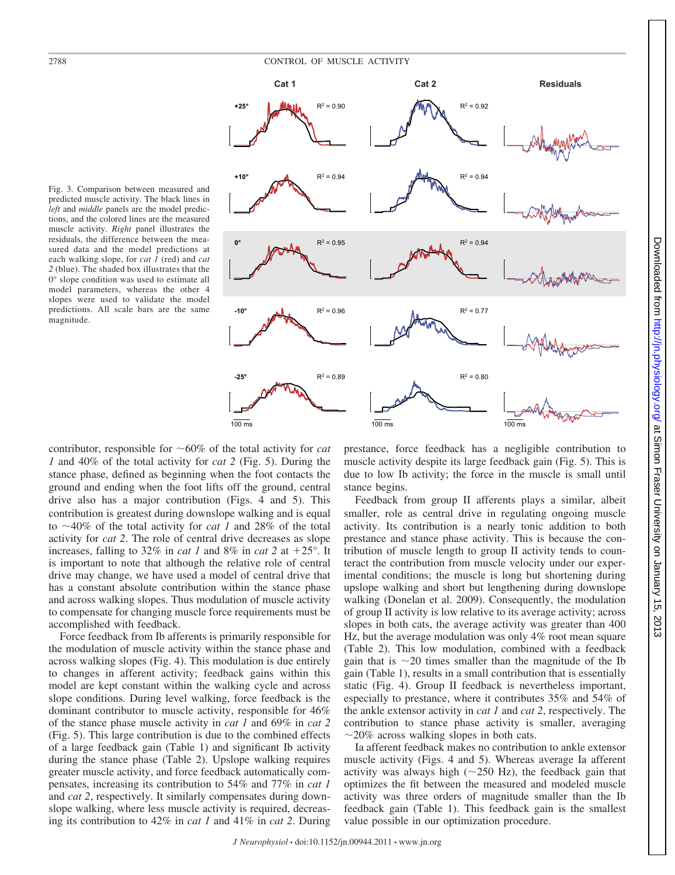

Fig. 3. Comparison between measured and predicted muscle activity. The black lines in *left* and *middle* panels are the model predictions, and the colored lines are the measured muscle activity. *Right* panel illustrates the residuals, the difference between the measured data and the model predictions at each walking slope, for *cat 1* (red) and *cat 2* (blue). The shaded box illustrates that the 0° slope condition was used to estimate all model parameters, whereas the other 4 slopes were used to validate the model predictions. All scale bars are the same magnitude.

contributor, responsible for  $~60\%$  of the total activity for *cat 1* and 40% of the total activity for *cat 2* (Fig. 5). During the stance phase, defined as beginning when the foot contacts the ground and ending when the foot lifts off the ground, central drive also has a major contribution (Figs. 4 and 5). This contribution is greatest during downslope walking and is equal to  $\sim$ 40% of the total activity for *cat 1* and 28% of the total activity for *cat 2*. The role of central drive decreases as slope increases, falling to 32% in *cat 1* and 8% in *cat 2* at  $+25^{\circ}$ . It is important to note that although the relative role of central drive may change, we have used a model of central drive that has a constant absolute contribution within the stance phase and across walking slopes. Thus modulation of muscle activity to compensate for changing muscle force requirements must be accomplished with feedback.

Force feedback from Ib afferents is primarily responsible for the modulation of muscle activity within the stance phase and across walking slopes (Fig. 4). This modulation is due entirely to changes in afferent activity; feedback gains within this model are kept constant within the walking cycle and across slope conditions. During level walking, force feedback is the dominant contributor to muscle activity, responsible for 46% of the stance phase muscle activity in *cat 1* and 69% in *cat 2* (Fig. 5). This large contribution is due to the combined effects of a large feedback gain (Table 1) and significant Ib activity during the stance phase (Table 2). Upslope walking requires greater muscle activity, and force feedback automatically compensates, increasing its contribution to 54% and 77% in *cat 1* and *cat 2*, respectively. It similarly compensates during downslope walking, where less muscle activity is required, decreasing its contribution to 42% in *cat 1* and 41% in *cat 2*. During

prestance, force feedback has a negligible contribution to muscle activity despite its large feedback gain (Fig. 5). This is due to low Ib activity; the force in the muscle is small until stance begins.

Feedback from group II afferents plays a similar, albeit smaller, role as central drive in regulating ongoing muscle activity. Its contribution is a nearly tonic addition to both prestance and stance phase activity. This is because the contribution of muscle length to group II activity tends to counteract the contribution from muscle velocity under our experimental conditions; the muscle is long but shortening during upslope walking and short but lengthening during downslope walking (Donelan et al. 2009). Consequently, the modulation of group II activity is low relative to its average activity; across slopes in both cats, the average activity was greater than 400 Hz, but the average modulation was only 4% root mean square (Table 2). This low modulation, combined with a feedback gain that is  $\sim$ 20 times smaller than the magnitude of the Ib gain (Table 1), results in a small contribution that is essentially static (Fig. 4). Group II feedback is nevertheless important, especially to prestance, where it contributes 35% and 54% of the ankle extensor activity in *cat 1* and *cat 2*, respectively. The contribution to stance phase activity is smaller, averaging  $\sim$ 20% across walking slopes in both cats.

Ia afferent feedback makes no contribution to ankle extensor muscle activity (Figs. 4 and 5). Whereas average Ia afferent activity was always high  $(\sim 250 \text{ Hz})$ , the feedback gain that optimizes the fit between the measured and modeled muscle activity was three orders of magnitude smaller than the Ib feedback gain (Table 1). This feedback gain is the smallest value possible in our optimization procedure.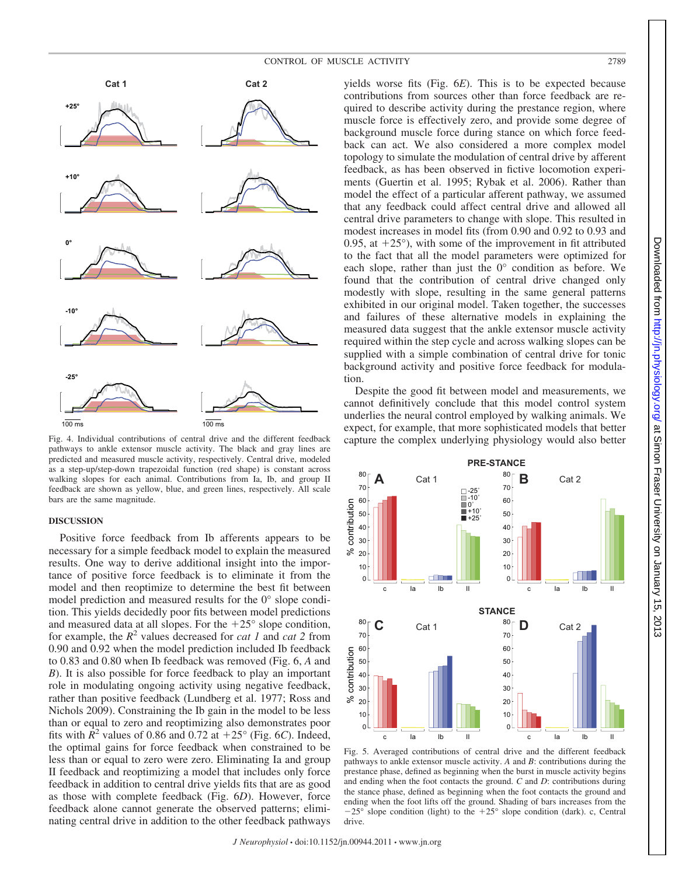



Fig. 4. Individual contributions of central drive and the different feedback pathways to ankle extensor muscle activity. The black and gray lines are predicted and measured muscle activity, respectively. Central drive, modeled as a step-up/step-down trapezoidal function (red shape) is constant across walking slopes for each animal. Contributions from Ia, Ib, and group II feedback are shown as yellow, blue, and green lines, respectively. All scale bars are the same magnitude.

### **DISCUSSION**

**+25°**

**+10°**

Positive force feedback from Ib afferents appears to be necessary for a simple feedback model to explain the measured results. One way to derive additional insight into the importance of positive force feedback is to eliminate it from the model and then reoptimize to determine the best fit between model prediction and measured results for the 0° slope condition. This yields decidedly poor fits between model predictions and measured data at all slopes. For the  $+25^{\circ}$  slope condition, for example, the  $R^2$  values decreased for *cat 1* and *cat 2* from 0.90 and 0.92 when the model prediction included Ib feedback to 0.83 and 0.80 when Ib feedback was removed (Fig. 6, *A* and *B*). It is also possible for force feedback to play an important role in modulating ongoing activity using negative feedback, rather than positive feedback (Lundberg et al. 1977; Ross and Nichols 2009). Constraining the Ib gain in the model to be less than or equal to zero and reoptimizing also demonstrates poor fits with  $\mathbb{R}^2$  values of 0.86 and 0.72 at  $+25^{\circ}$  (Fig. 6*C*). Indeed, the optimal gains for force feedback when constrained to be less than or equal to zero were zero. Eliminating Ia and group II feedback and reoptimizing a model that includes only force feedback in addition to central drive yields fits that are as good as those with complete feedback (Fig. 6*D*). However, force feedback alone cannot generate the observed patterns; eliminating central drive in addition to the other feedback pathways

yields worse fits (Fig. 6*E*). This is to be expected because contributions from sources other than force feedback are required to describe activity during the prestance region, where muscle force is effectively zero, and provide some degree of background muscle force during stance on which force feedback can act. We also considered a more complex model topology to simulate the modulation of central drive by afferent feedback, as has been observed in fictive locomotion experiments (Guertin et al. 1995; Rybak et al. 2006). Rather than model the effect of a particular afferent pathway, we assumed that any feedback could affect central drive and allowed all central drive parameters to change with slope. This resulted in modest increases in model fits (from 0.90 and 0.92 to 0.93 and 0.95, at  $+25^{\circ}$ ), with some of the improvement in fit attributed to the fact that all the model parameters were optimized for each slope, rather than just the 0° condition as before. We found that the contribution of central drive changed only modestly with slope, resulting in the same general patterns exhibited in our original model. Taken together, the successes and failures of these alternative models in explaining the measured data suggest that the ankle extensor muscle activity required within the step cycle and across walking slopes can be supplied with a simple combination of central drive for tonic background activity and positive force feedback for modulation.

Despite the good fit between model and measurements, we cannot definitively conclude that this model control system underlies the neural control employed by walking animals. We expect, for example, that more sophisticated models that better capture the complex underlying physiology would also better



Fig. 5. Averaged contributions of central drive and the different feedback pathways to ankle extensor muscle activity. *A* and *B*: contributions during the prestance phase, defined as beginning when the burst in muscle activity begins and ending when the foot contacts the ground. *C* and *D*: contributions during the stance phase, defined as beginning when the foot contacts the ground and ending when the foot lifts off the ground. Shading of bars increases from the  $-25^{\circ}$  slope condition (light) to the  $+25^{\circ}$  slope condition (dark). c, Central drive.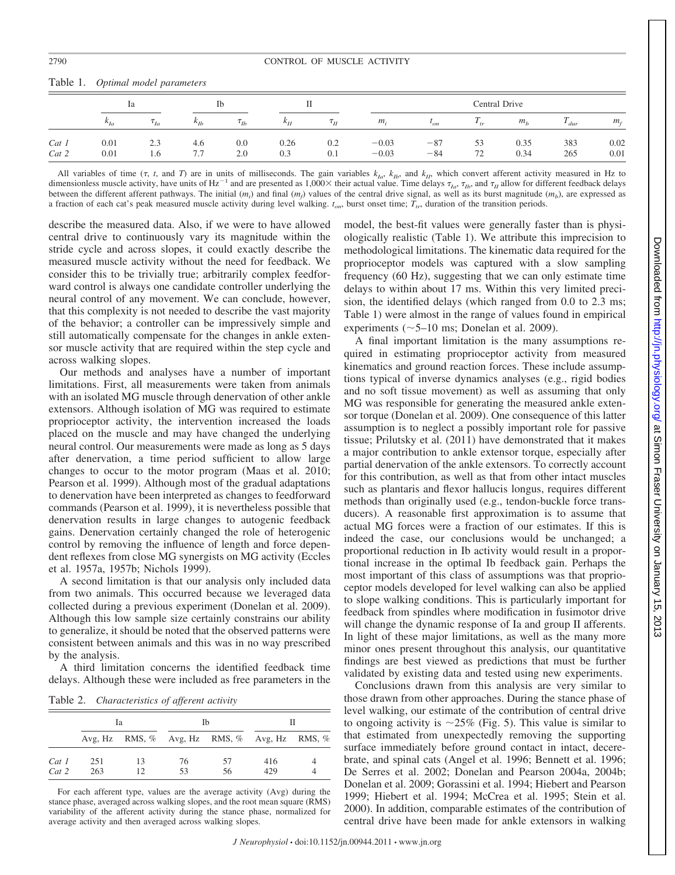|                  | 1a            |             | Ιb            |             |               |                      | Central Drive      |                |          |                |             |              |
|------------------|---------------|-------------|---------------|-------------|---------------|----------------------|--------------------|----------------|----------|----------------|-------------|--------------|
|                  | $\kappa_{Ia}$ | $\tau_{Ia}$ | $\kappa_{Ib}$ | $\tau_{Ib}$ | $\kappa_{II}$ | $\tau$ <sub>II</sub> | $m_i$              | $\iota_{on}$   | $1_{tr}$ | m <sub>b</sub> | $\mu_{dur}$ | $m_f$        |
| $Cat_1$<br>Cat 2 | 0.01<br>0.01  | 2.3<br>1.0  | 4.6<br>7.7    | 0.0<br>2.0  | 0.26<br>0.3   | 0.2<br>0.1           | $-0.03$<br>$-0.03$ | $-87$<br>$-84$ | 53<br>72 | 0.35<br>0.34   | 383<br>265  | 0.02<br>0.01 |

Table 1. *Optimal model parameters*

All variables of time  $(\tau, t, \text{ and } T)$  are in units of milliseconds. The gain variables  $k_{Ia}$ ,  $k_{Ib}$ , and  $k_{II}$ , which convert afferent activity measured in Hz to dimensionless muscle activity, have units of Hz<sup>-1</sup> and are presented as 1,000× their actual value. Time delays  $\tau_{Ia}$ ,  $\tau_{Ib}$ , and  $\tau_{II}$  allow for different feedback delays between the different afferent pathways. The initial  $(m_i)$  and final  $(m_f)$  values of the central drive signal, as well as its burst magnitude  $(m_b)$ , are expressed as a fraction of each cat's peak measured muscle activity during level walking.  $t_{on}$ , burst onset time;  $T_{tr}$ , duration of the transition periods.

describe the measured data. Also, if we were to have allowed central drive to continuously vary its magnitude within the stride cycle and across slopes, it could exactly describe the measured muscle activity without the need for feedback. We consider this to be trivially true; arbitrarily complex feedforward control is always one candidate controller underlying the neural control of any movement. We can conclude, however, that this complexity is not needed to describe the vast majority of the behavior; a controller can be impressively simple and still automatically compensate for the changes in ankle extensor muscle activity that are required within the step cycle and across walking slopes.

Our methods and analyses have a number of important limitations. First, all measurements were taken from animals with an isolated MG muscle through denervation of other ankle extensors. Although isolation of MG was required to estimate proprioceptor activity, the intervention increased the loads placed on the muscle and may have changed the underlying neural control. Our measurements were made as long as 5 days after denervation, a time period sufficient to allow large changes to occur to the motor program (Maas et al. 2010; Pearson et al. 1999). Although most of the gradual adaptations to denervation have been interpreted as changes to feedforward commands (Pearson et al. 1999), it is nevertheless possible that denervation results in large changes to autogenic feedback gains. Denervation certainly changed the role of heterogenic control by removing the influence of length and force dependent reflexes from close MG synergists on MG activity (Eccles et al. 1957a, 1957b; Nichols 1999).

A second limitation is that our analysis only included data from two animals. This occurred because we leveraged data collected during a previous experiment (Donelan et al. 2009). Although this low sample size certainly constrains our ability to generalize, it should be noted that the observed patterns were consistent between animals and this was in no way prescribed by the analysis.

A third limitation concerns the identified feedback time delays. Although these were included as free parameters in the

Table 2. *Characteristics of afferent activity*

|                |            | Iа       |          | Ib                                                    |            |  |  |
|----------------|------------|----------|----------|-------------------------------------------------------|------------|--|--|
|                |            |          |          | Avg, Hz RMS, $\%$ Avg, Hz RMS, $\%$ Avg, Hz RMS, $\%$ |            |  |  |
| Cat 1<br>Cat 2 | 251<br>263 | 13<br>12 | 76<br>53 | 57<br>56                                              | 416<br>429 |  |  |

For each afferent type, values are the average activity (Avg) during the stance phase, averaged across walking slopes, and the root mean square (RMS) variability of the afferent activity during the stance phase, normalized for average activity and then averaged across walking slopes.

model, the best-fit values were generally faster than is physiologically realistic (Table 1). We attribute this imprecision to methodological limitations. The kinematic data required for the proprioceptor models was captured with a slow sampling frequency (60 Hz), suggesting that we can only estimate time delays to within about 17 ms. Within this very limited precision, the identified delays (which ranged from 0.0 to 2.3 ms; Table 1) were almost in the range of values found in empirical experiments ( $\sim$ 5–10 ms; Donelan et al. 2009).

A final important limitation is the many assumptions required in estimating proprioceptor activity from measured kinematics and ground reaction forces. These include assumptions typical of inverse dynamics analyses (e.g., rigid bodies and no soft tissue movement) as well as assuming that only MG was responsible for generating the measured ankle extensor torque (Donelan et al. 2009). One consequence of this latter assumption is to neglect a possibly important role for passive tissue; Prilutsky et al. (2011) have demonstrated that it makes a major contribution to ankle extensor torque, especially after partial denervation of the ankle extensors. To correctly account for this contribution, as well as that from other intact muscles such as plantaris and flexor hallucis longus, requires different methods than originally used (e.g., tendon-buckle force transducers). A reasonable first approximation is to assume that actual MG forces were a fraction of our estimates. If this is indeed the case, our conclusions would be unchanged; a proportional reduction in Ib activity would result in a proportional increase in the optimal Ib feedback gain. Perhaps the most important of this class of assumptions was that proprioceptor models developed for level walking can also be applied to slope walking conditions. This is particularly important for feedback from spindles where modification in fusimotor drive will change the dynamic response of Ia and group II afferents. In light of these major limitations, as well as the many more minor ones present throughout this analysis, our quantitative findings are best viewed as predictions that must be further validated by existing data and tested using new experiments.

Conclusions drawn from this analysis are very similar to those drawn from other approaches. During the stance phase of level walking, our estimate of the contribution of central drive to ongoing activity is  $\sim$  25% (Fig. 5). This value is similar to that estimated from unexpectedly removing the supporting surface immediately before ground contact in intact, decerebrate, and spinal cats (Angel et al. 1996; Bennett et al. 1996; De Serres et al. 2002; Donelan and Pearson 2004a, 2004b; Donelan et al. 2009; Gorassini et al. 1994; Hiebert and Pearson 1999; Hiebert et al. 1994; McCrea et al. 1995; Stein et al. 2000). In addition, comparable estimates of the contribution of central drive have been made for ankle extensors in walking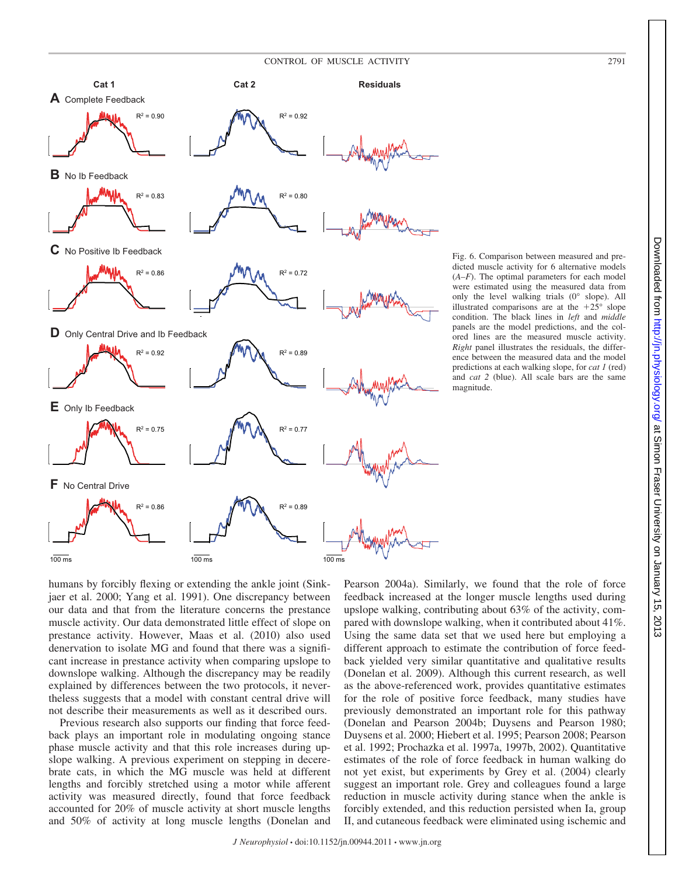



**Cat 1 Cat 2 Residuals**

 $R^2 = 0.90$   $R^2 = 0.92$ 

**A** Complete Feedback

Fig. 6. Comparison between measured and predicted muscle activity for 6 alternative models (*A–F*). The optimal parameters for each model were estimated using the measured data from only the level walking trials (0° slope). All illustrated comparisons are at the  $+25^{\circ}$  slope condition. The black lines in *left* and *middle* panels are the model predictions, and the colored lines are the measured muscle activity. *Right* panel illustrates the residuals, the difference between the measured data and the model predictions at each walking slope, for *cat 1* (red) and *cat 2* (blue). All scale bars are the same magnitude.

humans by forcibly flexing or extending the ankle joint (Sinkjaer et al. 2000; Yang et al. 1991). One discrepancy between our data and that from the literature concerns the prestance muscle activity. Our data demonstrated little effect of slope on prestance activity. However, Maas et al. (2010) also used denervation to isolate MG and found that there was a significant increase in prestance activity when comparing upslope to downslope walking. Although the discrepancy may be readily explained by differences between the two protocols, it nevertheless suggests that a model with constant central drive will not describe their measurements as well as it described ours.

Previous research also supports our finding that force feedback plays an important role in modulating ongoing stance phase muscle activity and that this role increases during upslope walking. A previous experiment on stepping in decerebrate cats, in which the MG muscle was held at different lengths and forcibly stretched using a motor while afferent activity was measured directly, found that force feedback accounted for 20% of muscle activity at short muscle lengths and 50% of activity at long muscle lengths (Donelan and

Pearson 2004a). Similarly, we found that the role of force feedback increased at the longer muscle lengths used during upslope walking, contributing about 63% of the activity, compared with downslope walking, when it contributed about 41%. Using the same data set that we used here but employing a different approach to estimate the contribution of force feedback yielded very similar quantitative and qualitative results (Donelan et al. 2009). Although this current research, as well as the above-referenced work, provides quantitative estimates for the role of positive force feedback, many studies have previously demonstrated an important role for this pathway (Donelan and Pearson 2004b; Duysens and Pearson 1980; Duysens et al. 2000; Hiebert et al. 1995; Pearson 2008; Pearson et al. 1992; Prochazka et al. 1997a, 1997b, 2002). Quantitative estimates of the role of force feedback in human walking do not yet exist, but experiments by Grey et al. (2004) clearly suggest an important role. Grey and colleagues found a large reduction in muscle activity during stance when the ankle is forcibly extended, and this reduction persisted when Ia, group II, and cutaneous feedback were eliminated using ischemic and

 $.2013$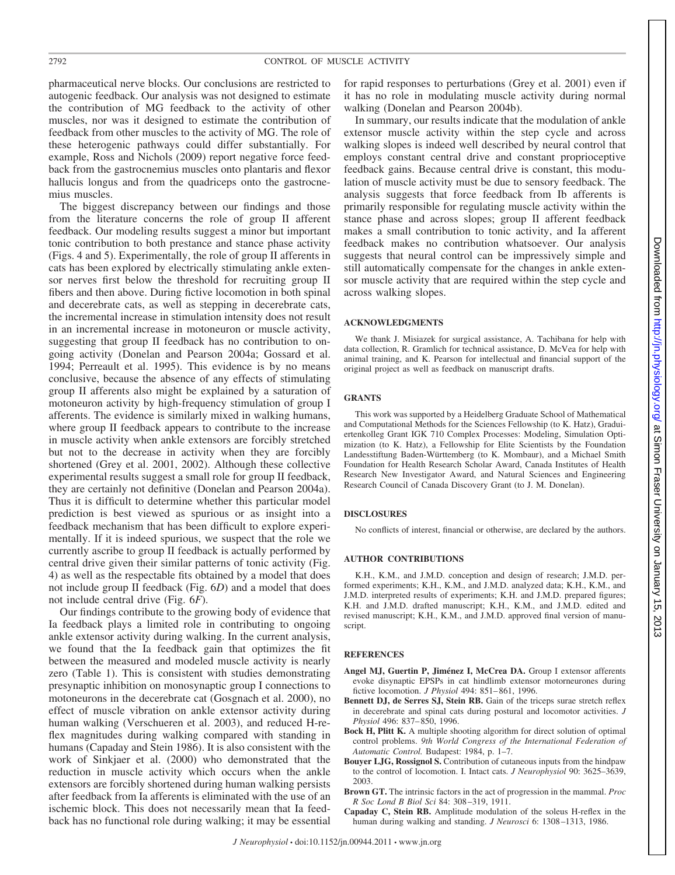pharmaceutical nerve blocks. Our conclusions are restricted to autogenic feedback. Our analysis was not designed to estimate the contribution of MG feedback to the activity of other muscles, nor was it designed to estimate the contribution of feedback from other muscles to the activity of MG. The role of these heterogenic pathways could differ substantially. For example, Ross and Nichols (2009) report negative force feedback from the gastrocnemius muscles onto plantaris and flexor hallucis longus and from the quadriceps onto the gastrocnemius muscles.

The biggest discrepancy between our findings and those from the literature concerns the role of group II afferent feedback. Our modeling results suggest a minor but important tonic contribution to both prestance and stance phase activity (Figs. 4 and 5). Experimentally, the role of group II afferents in cats has been explored by electrically stimulating ankle extensor nerves first below the threshold for recruiting group II fibers and then above. During fictive locomotion in both spinal and decerebrate cats, as well as stepping in decerebrate cats, the incremental increase in stimulation intensity does not result in an incremental increase in motoneuron or muscle activity, suggesting that group II feedback has no contribution to ongoing activity (Donelan and Pearson 2004a; Gossard et al. 1994; Perreault et al. 1995). This evidence is by no means conclusive, because the absence of any effects of stimulating group II afferents also might be explained by a saturation of motoneuron activity by high-frequency stimulation of group I afferents. The evidence is similarly mixed in walking humans, where group II feedback appears to contribute to the increase in muscle activity when ankle extensors are forcibly stretched but not to the decrease in activity when they are forcibly shortened (Grey et al. 2001, 2002). Although these collective experimental results suggest a small role for group II feedback, they are certainly not definitive (Donelan and Pearson 2004a). Thus it is difficult to determine whether this particular model prediction is best viewed as spurious or as insight into a feedback mechanism that has been difficult to explore experimentally. If it is indeed spurious, we suspect that the role we currently ascribe to group II feedback is actually performed by central drive given their similar patterns of tonic activity (Fig. 4) as well as the respectable fits obtained by a model that does not include group II feedback (Fig. 6*D*) and a model that does not include central drive (Fig. 6*F*).

Our findings contribute to the growing body of evidence that Ia feedback plays a limited role in contributing to ongoing ankle extensor activity during walking. In the current analysis, we found that the Ia feedback gain that optimizes the fit between the measured and modeled muscle activity is nearly zero (Table 1). This is consistent with studies demonstrating presynaptic inhibition on monosynaptic group I connections to motoneurons in the decerebrate cat (Gosgnach et al. 2000), no effect of muscle vibration on ankle extensor activity during human walking (Verschueren et al. 2003), and reduced H-reflex magnitudes during walking compared with standing in humans (Capaday and Stein 1986). It is also consistent with the work of Sinkjaer et al. (2000) who demonstrated that the reduction in muscle activity which occurs when the ankle extensors are forcibly shortened during human walking persists after feedback from Ia afferents is eliminated with the use of an ischemic block. This does not necessarily mean that Ia feedback has no functional role during walking; it may be essential

for rapid responses to perturbations (Grey et al. 2001) even if it has no role in modulating muscle activity during normal walking (Donelan and Pearson 2004b).

In summary, our results indicate that the modulation of ankle extensor muscle activity within the step cycle and across walking slopes is indeed well described by neural control that employs constant central drive and constant proprioceptive feedback gains. Because central drive is constant, this modulation of muscle activity must be due to sensory feedback. The analysis suggests that force feedback from Ib afferents is primarily responsible for regulating muscle activity within the stance phase and across slopes; group II afferent feedback makes a small contribution to tonic activity, and Ia afferent feedback makes no contribution whatsoever. Our analysis suggests that neural control can be impressively simple and still automatically compensate for the changes in ankle extensor muscle activity that are required within the step cycle and across walking slopes.

#### **ACKNOWLEDGMENTS**

We thank J. Misiazek for surgical assistance, A. Tachibana for help with data collection, R. Gramlich for technical assistance, D. McVea for help with animal training, and K. Pearson for intellectual and financial support of the original project as well as feedback on manuscript drafts.

#### **GRANTS**

This work was supported by a Heidelberg Graduate School of Mathematical and Computational Methods for the Sciences Fellowship (to K. Hatz), Graduiertenkolleg Grant IGK 710 Complex Processes: Modeling, Simulation Optimization (to K. Hatz), a Fellowship for Elite Scientists by the Foundation Landesstiftung Baden-Württemberg (to K. Mombaur), and a Michael Smith Foundation for Health Research Scholar Award, Canada Institutes of Health Research New Investigator Award, and Natural Sciences and Engineering Research Council of Canada Discovery Grant (to J. M. Donelan).

#### **DISCLOSURES**

No conflicts of interest, financial or otherwise, are declared by the authors.

#### **AUTHOR CONTRIBUTIONS**

K.H., K.M., and J.M.D. conception and design of research; J.M.D. performed experiments; K.H., K.M., and J.M.D. analyzed data; K.H., K.M., and J.M.D. interpreted results of experiments; K.H. and J.M.D. prepared figures; K.H. and J.M.D. drafted manuscript; K.H., K.M., and J.M.D. edited and revised manuscript; K.H., K.M., and J.M.D. approved final version of manuscript.

#### **REFERENCES**

- **Angel MJ, Guertin P, Jiménez I, McCrea DA.** Group I extensor afferents evoke disynaptic EPSPs in cat hindlimb extensor motorneurones during fictive locomotion. *J Physiol* 494: 851– 861, 1996.
- **Bennett DJ, de Serres SJ, Stein RB.** Gain of the triceps surae stretch reflex in decerebrate and spinal cats during postural and locomotor activities. *J Physiol* 496: 837– 850, 1996.
- **Bock H, Plitt K.** A multiple shooting algorithm for direct solution of optimal control problems. *9th World Congress of the International Federation of Automatic Control.* Budapest: 1984, p. 1–7.
- **Bouyer LJG, Rossignol S.** Contribution of cutaneous inputs from the hindpaw to the control of locomotion. I. Intact cats. *J Neurophysiol* 90: 3625–3639, 2003.
- **Brown GT.** The intrinsic factors in the act of progression in the mammal. *Proc R Soc Lond B Biol Sci* 84: 308 –319, 1911.
- **Capaday C, Stein RB.** Amplitude modulation of the soleus H-reflex in the human during walking and standing. *J Neurosci* 6: 1308 –1313, 1986.